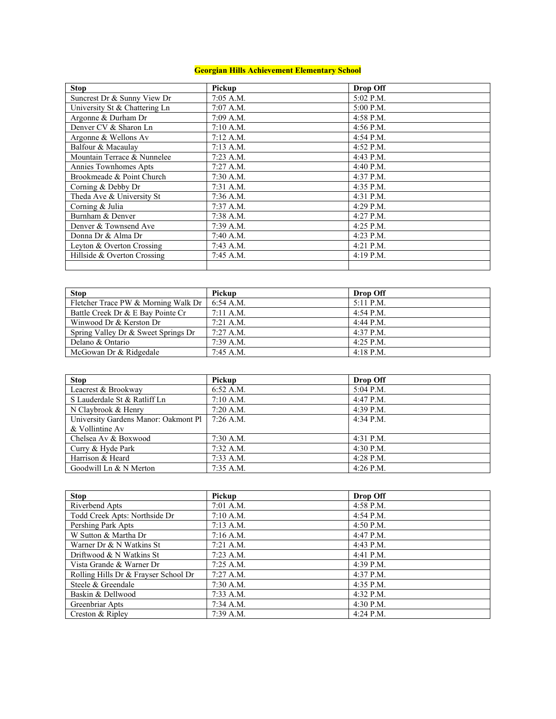## **Georgian Hills Achievement Elementary School**

| <b>Stop</b>                   | Pickup      | Drop Off    |
|-------------------------------|-------------|-------------|
| Suncrest Dr & Sunny View Dr   | $7:05$ A.M. | 5:02 P.M.   |
| University St & Chattering Ln | $7:07$ A.M. | 5:00 P.M.   |
| Argonne & Durham Dr           | 7:09 A.M.   | 4:58 P.M.   |
| Denver CV & Sharon Ln         | $7:10$ A.M. | 4:56 P.M.   |
| Argonne & Wellons Av          | $7:12$ A.M. | $4:54$ P.M. |
| Balfour & Macaulay            | $7:13$ A.M. | $4:52$ P.M. |
| Mountain Terrace & Nunnelee   | $7:23$ A.M. | $4:43$ P.M. |
| Annies Townhomes Apts         | $7:27$ A.M. | 4:40 P.M.   |
| Brookmeade & Point Church     | $7:30$ A.M. | $4:37$ P.M. |
| Corning & Debby Dr            | $7:31$ A.M. | $4:35$ P.M. |
| Theda Ave & University St     | $7:36$ A.M. | 4:31 P.M.   |
| Corning & Julia               | $7:37$ A.M. | $4:29$ P.M. |
| Burnham & Denver              | 7:38 A.M.   | $4:27$ P.M. |
| Denver & Townsend Ave         | $7:39$ A.M. | $4:25$ P.M. |
| Donna Dr & Alma Dr            | 7:40 A.M.   | $4:23$ P.M. |
| Leyton & Overton Crossing     | $7:43$ A.M. | 4:21 P.M.   |
| Hillside & Overton Crossing   | $7:45$ A.M. | $4:19$ P.M. |
|                               |             |             |

| <b>Stop</b>                         | Pickup              | <b>Drop Off</b> |
|-------------------------------------|---------------------|-----------------|
| Fletcher Trace PW & Morning Walk Dr | $6:54$ A.M.         | $5:11$ P.M.     |
| Battle Creek Dr & E Bay Pointe Cr   | $7:11 \text{ A.M.}$ | $4:54$ P.M.     |
| Winwood Dr & Kerston Dr             | $7:21$ A.M.         | $4:44$ P.M.     |
| Spring Valley Dr & Sweet Springs Dr | $7:27$ A.M.         | $4:37$ P.M.     |
| Delano & Ontario                    | 7:39 A.M.           | $4:25$ P.M.     |
| McGowan Dr & Ridgedale              | $7:45$ A.M.         | $4:18$ P.M.     |

| <b>Stop</b>                          | Pickup      | Drop Off    |
|--------------------------------------|-------------|-------------|
| Leacrest & Brookway                  | 6:52 A.M.   | 5:04 P.M.   |
| S Lauderdale St & Ratliff Ln         | $7:10$ A.M. | 4:47 P.M.   |
| N Claybrook & Henry                  | $7:20$ A.M. | $4:39$ P.M. |
| University Gardens Manor: Oakmont Pl | $7:26$ A.M. | $4:34$ P.M. |
| & Vollintine Av                      |             |             |
| Chelsea Av & Boxwood                 | $7:30$ A.M. | 4:31 P.M.   |
| Curry & Hyde Park                    | $7:32$ A.M. | 4:30 P.M.   |
| Harrison & Heard                     | $7:33$ A.M. | 4:28 P.M.   |
| Goodwill Ln & N Merton               | $7:35$ A.M. | 4:26 P.M.   |

| <b>Stop</b>                          | Pickup      | Drop Off    |
|--------------------------------------|-------------|-------------|
| Riverbend Apts                       | $7:01$ A.M. | $4:58$ P.M. |
| Todd Creek Apts: Northside Dr        | $7:10$ A.M. | $4:54$ P.M. |
| Pershing Park Apts                   | $7:13$ A.M. | 4:50 P.M.   |
| W Sutton & Martha Dr                 | $7:16$ A.M. | $4:47$ P.M. |
| Warner Dr & N Watkins St             | $7:21$ A.M. | 4:43 P.M.   |
| Driftwood & N Watkins St             | $7:23$ A.M. | $4:41$ P.M. |
| Vista Grande & Warner Dr             | $7:25$ A.M. | $4:39$ P.M. |
| Rolling Hills Dr & Frayser School Dr | $7:27$ A.M. | $4:37$ P.M. |
| Steele & Greendale                   | $7:30$ A.M. | 4:35 P.M.   |
| Baskin & Dellwood                    | $7:33$ A.M. | $4:32$ P.M. |
| Greenbriar Apts                      | 7:34 A.M.   | $4:30$ P.M. |
| Creston & Ripley                     | 7:39 A.M.   | 4:24 P.M.   |